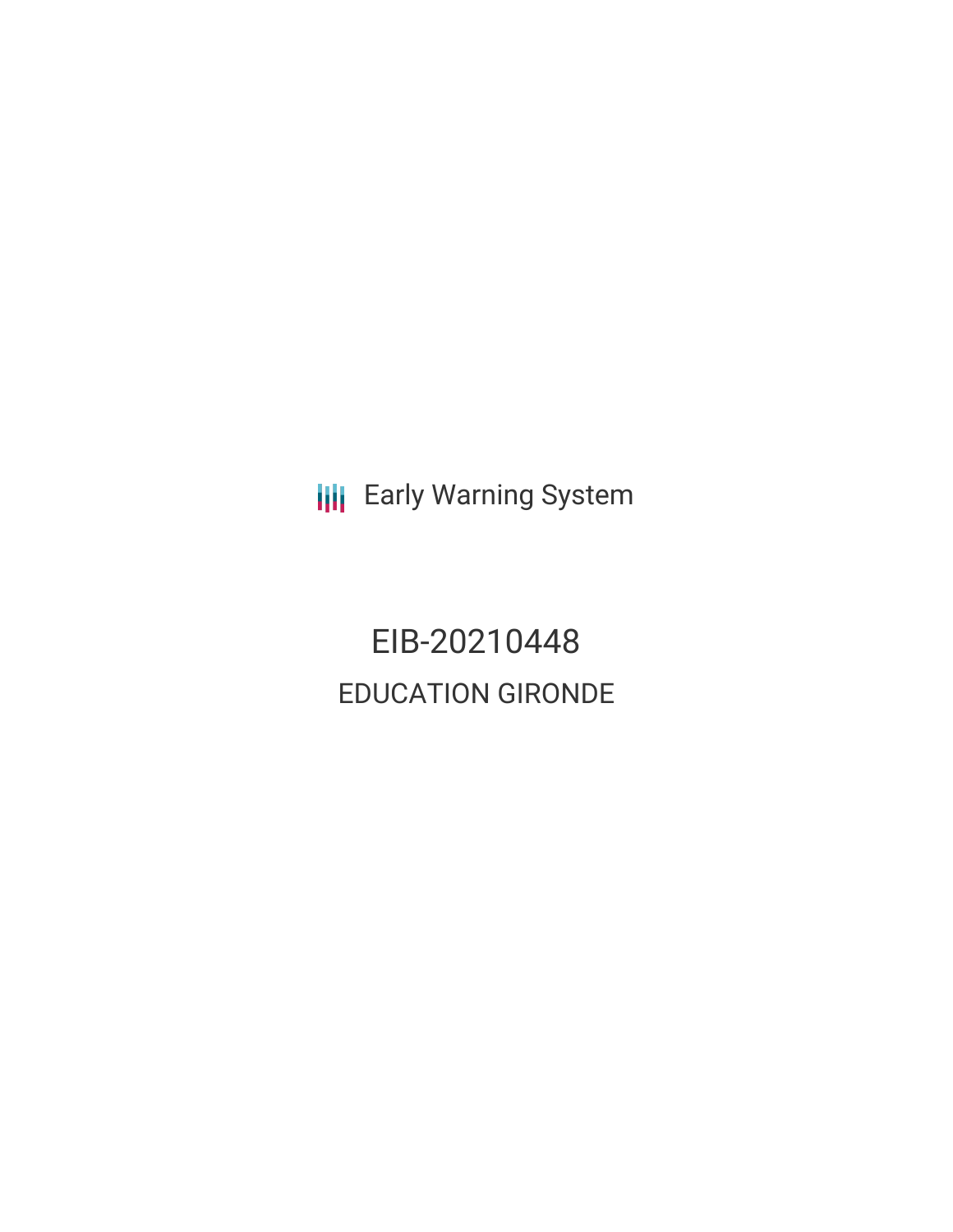**III** Early Warning System

EIB-20210448 EDUCATION GIRONDE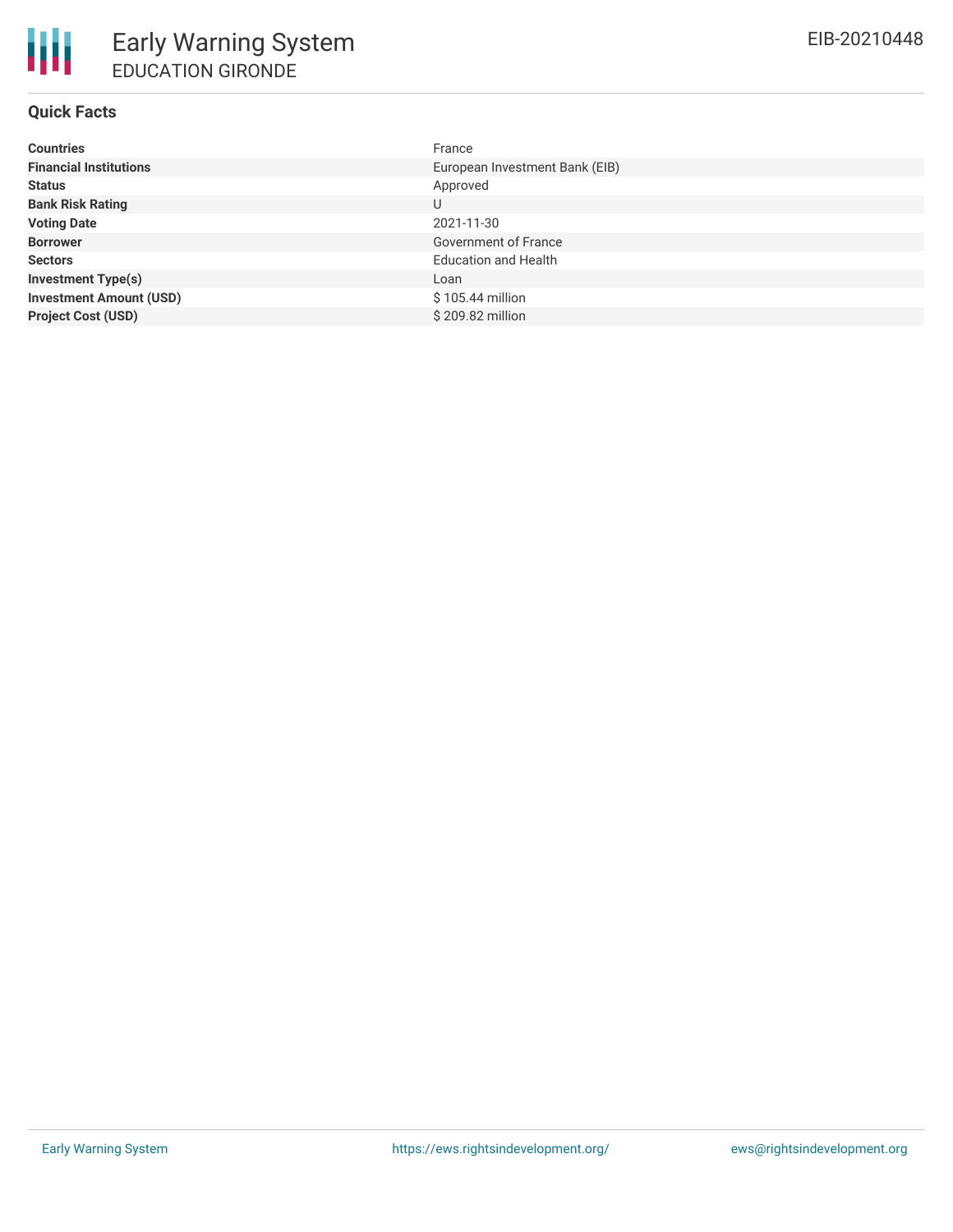# **Quick Facts**

| <b>Countries</b>               | France                         |
|--------------------------------|--------------------------------|
| <b>Financial Institutions</b>  | European Investment Bank (EIB) |
| <b>Status</b>                  | Approved                       |
| <b>Bank Risk Rating</b>        | U                              |
| <b>Voting Date</b>             | 2021-11-30                     |
| <b>Borrower</b>                | Government of France           |
| <b>Sectors</b>                 | <b>Education and Health</b>    |
| <b>Investment Type(s)</b>      | Loan                           |
| <b>Investment Amount (USD)</b> | $$105.44$ million              |
| <b>Project Cost (USD)</b>      | \$209.82 million               |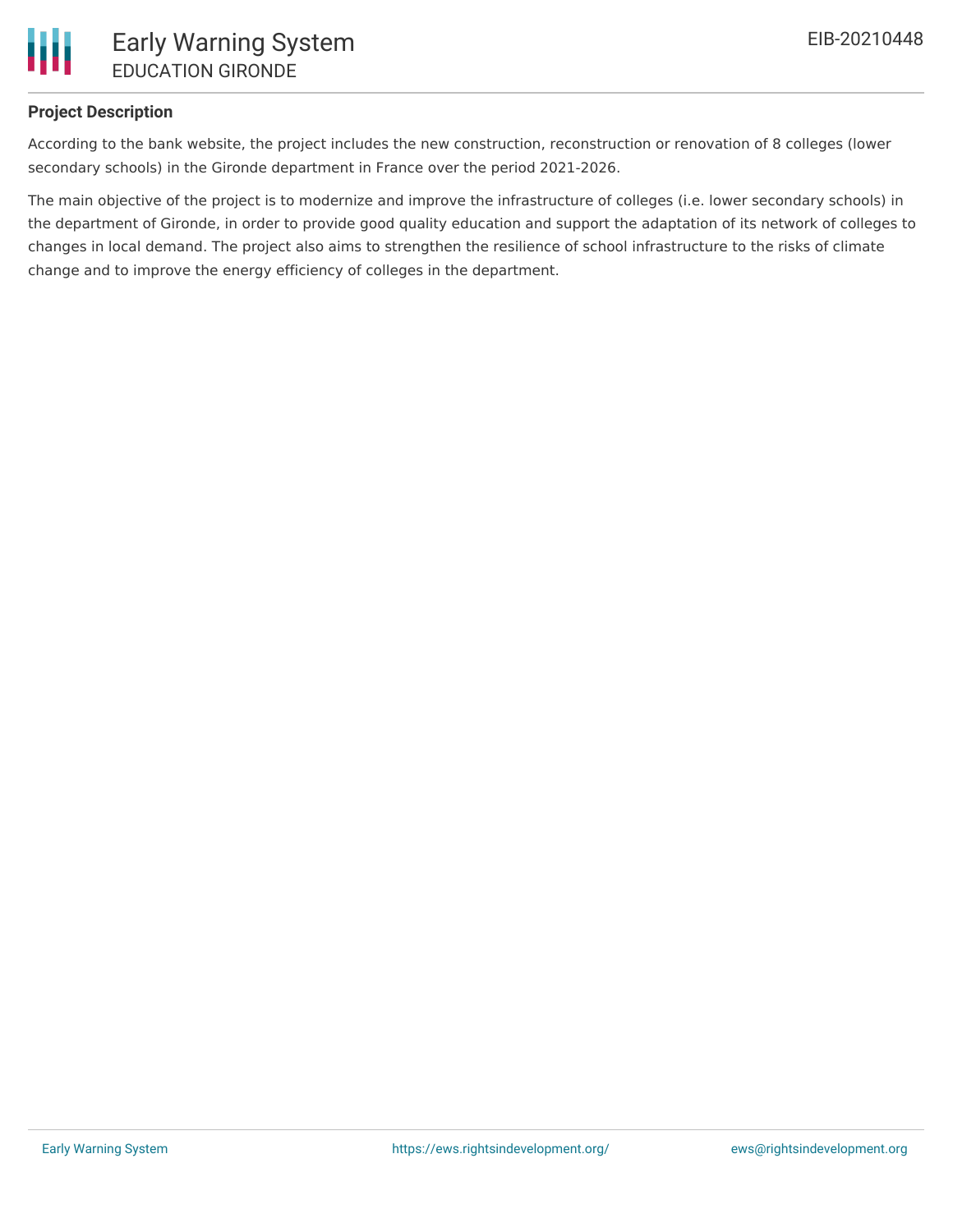

# **Project Description**

According to the bank website, the project includes the new construction, reconstruction or renovation of 8 colleges (lower secondary schools) in the Gironde department in France over the period 2021-2026.

The main objective of the project is to modernize and improve the infrastructure of colleges (i.e. lower secondary schools) in the department of Gironde, in order to provide good quality education and support the adaptation of its network of colleges to changes in local demand. The project also aims to strengthen the resilience of school infrastructure to the risks of climate change and to improve the energy efficiency of colleges in the department.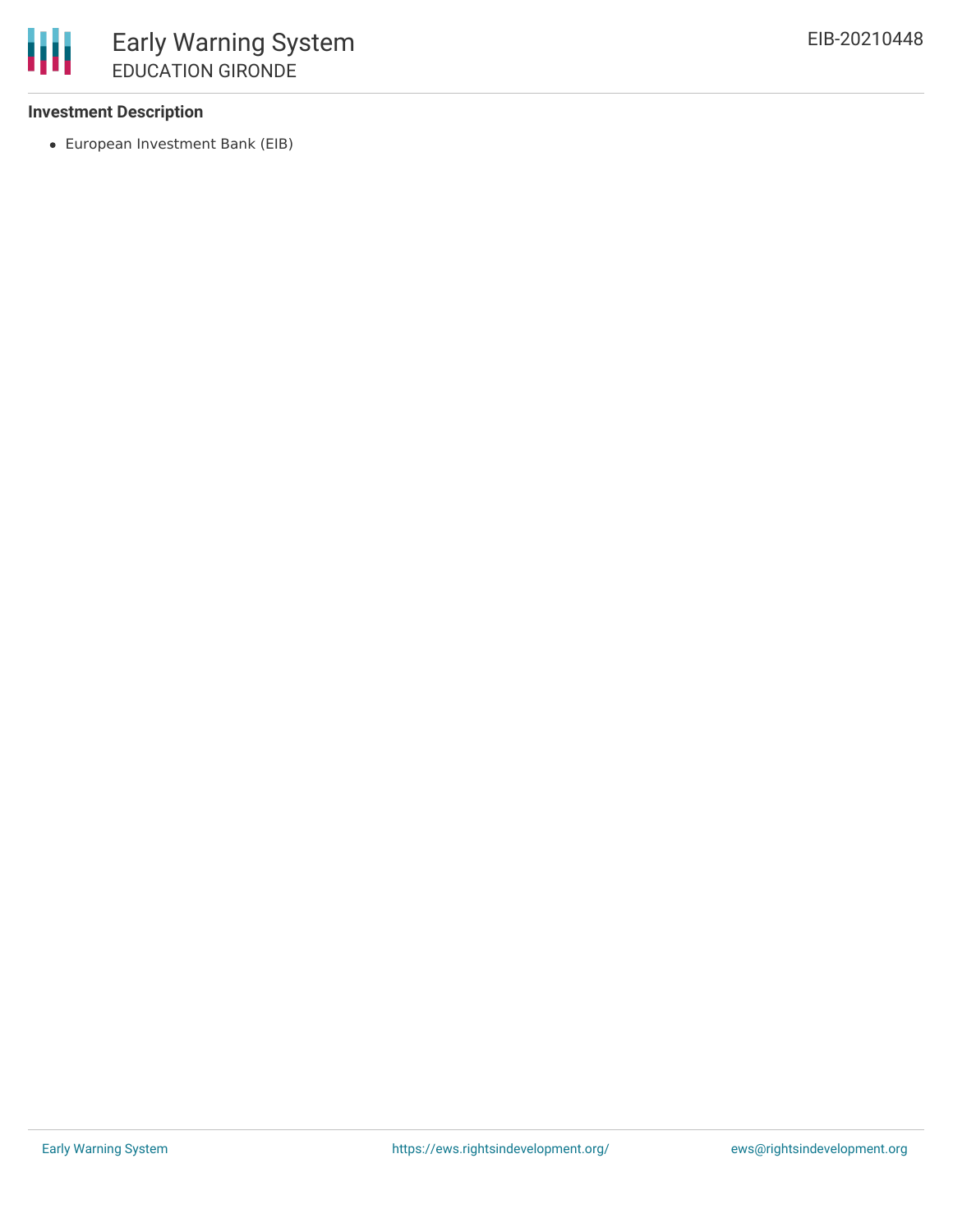### **Investment Description**

European Investment Bank (EIB)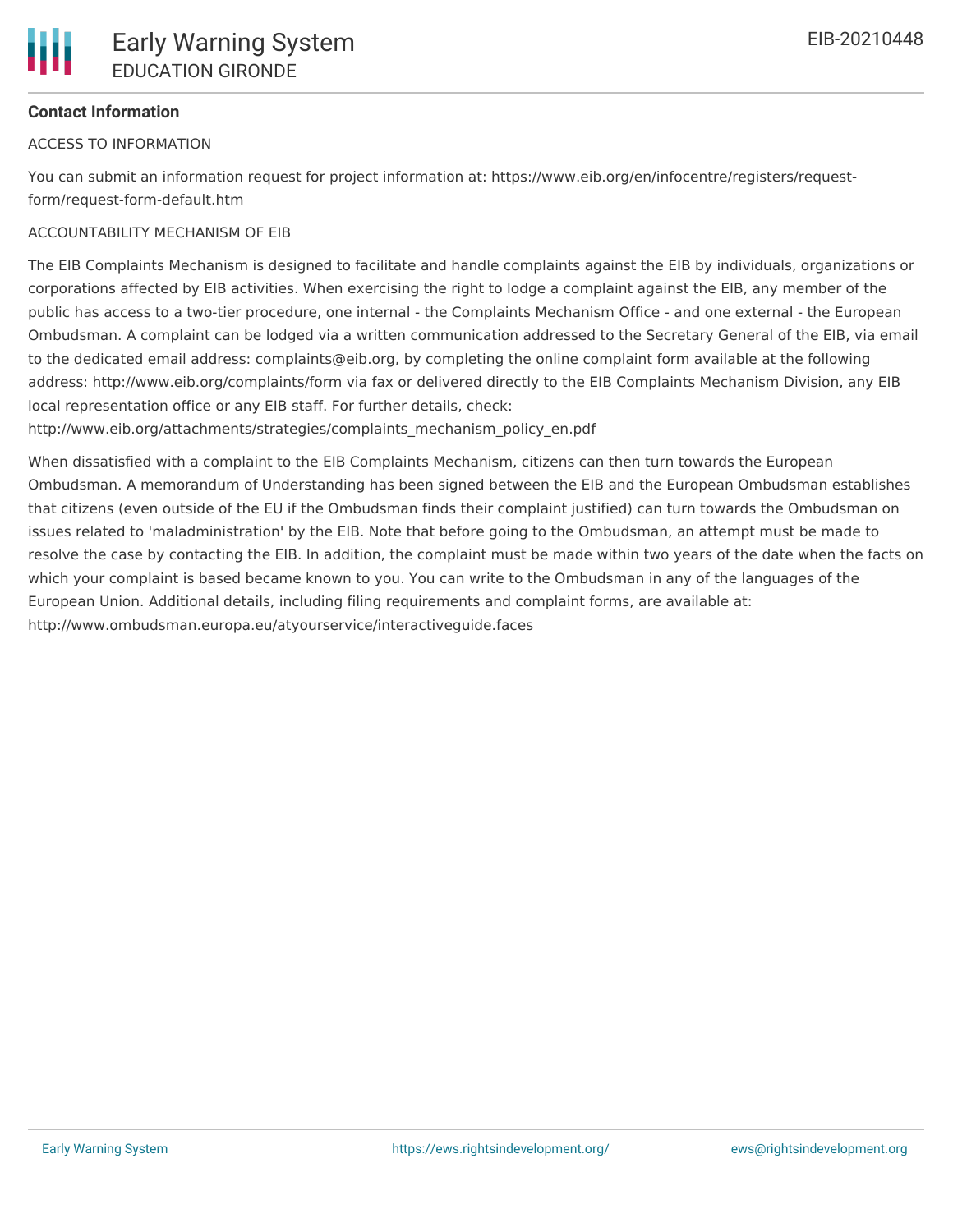

## **Contact Information**

#### ACCESS TO INFORMATION

You can submit an information request for project information at: https://www.eib.org/en/infocentre/registers/requestform/request-form-default.htm

#### ACCOUNTABILITY MECHANISM OF EIB

The EIB Complaints Mechanism is designed to facilitate and handle complaints against the EIB by individuals, organizations or corporations affected by EIB activities. When exercising the right to lodge a complaint against the EIB, any member of the public has access to a two-tier procedure, one internal - the Complaints Mechanism Office - and one external - the European Ombudsman. A complaint can be lodged via a written communication addressed to the Secretary General of the EIB, via email to the dedicated email address: complaints@eib.org, by completing the online complaint form available at the following address: http://www.eib.org/complaints/form via fax or delivered directly to the EIB Complaints Mechanism Division, any EIB local representation office or any EIB staff. For further details, check:

http://www.eib.org/attachments/strategies/complaints\_mechanism\_policy\_en.pdf

When dissatisfied with a complaint to the EIB Complaints Mechanism, citizens can then turn towards the European Ombudsman. A memorandum of Understanding has been signed between the EIB and the European Ombudsman establishes that citizens (even outside of the EU if the Ombudsman finds their complaint justified) can turn towards the Ombudsman on issues related to 'maladministration' by the EIB. Note that before going to the Ombudsman, an attempt must be made to resolve the case by contacting the EIB. In addition, the complaint must be made within two years of the date when the facts on which your complaint is based became known to you. You can write to the Ombudsman in any of the languages of the European Union. Additional details, including filing requirements and complaint forms, are available at: http://www.ombudsman.europa.eu/atyourservice/interactiveguide.faces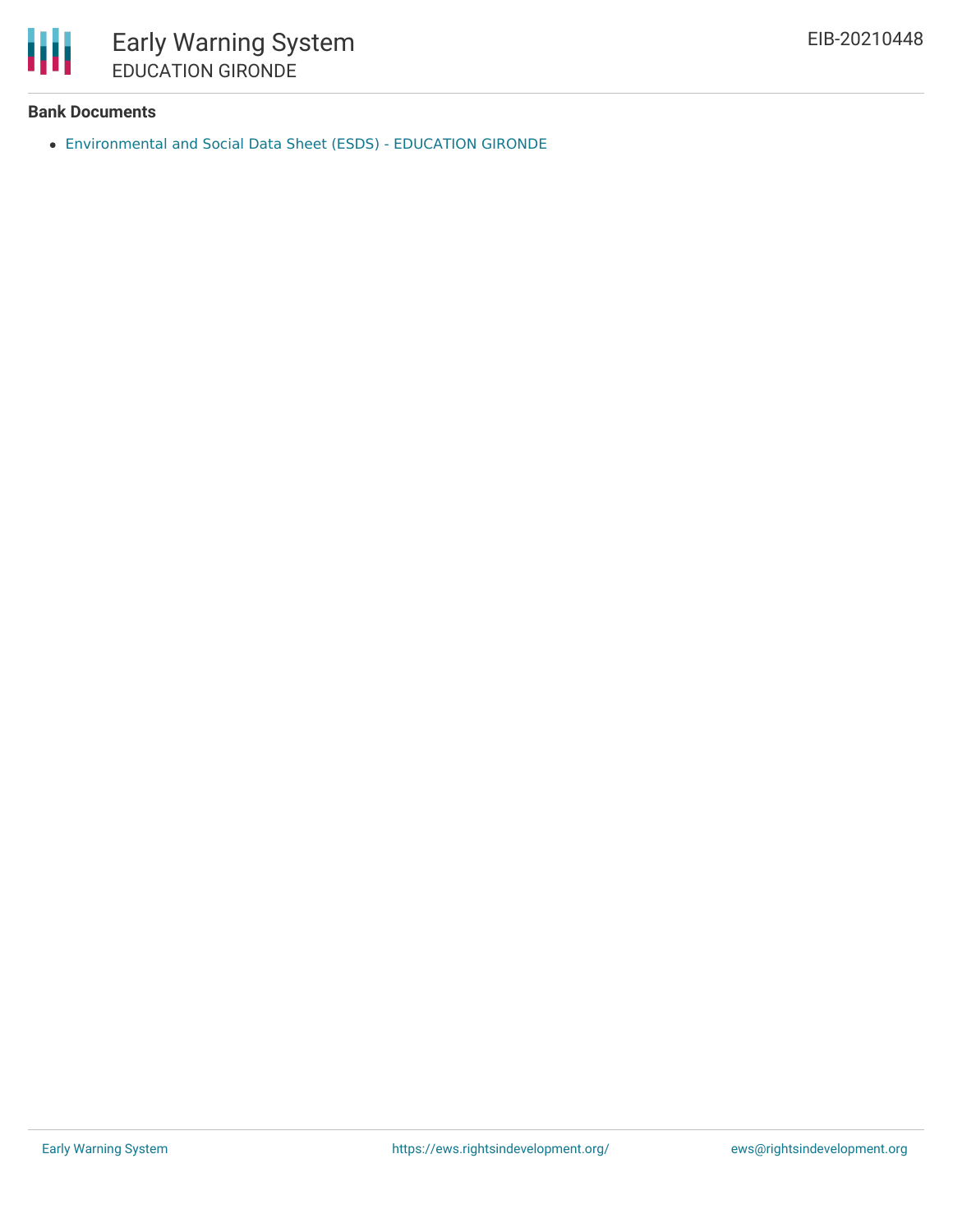

### **Bank Documents**

[Environmental](https://www.eib.org/en/registers/all/141407737) and Social Data Sheet (ESDS) - EDUCATION GIRONDE